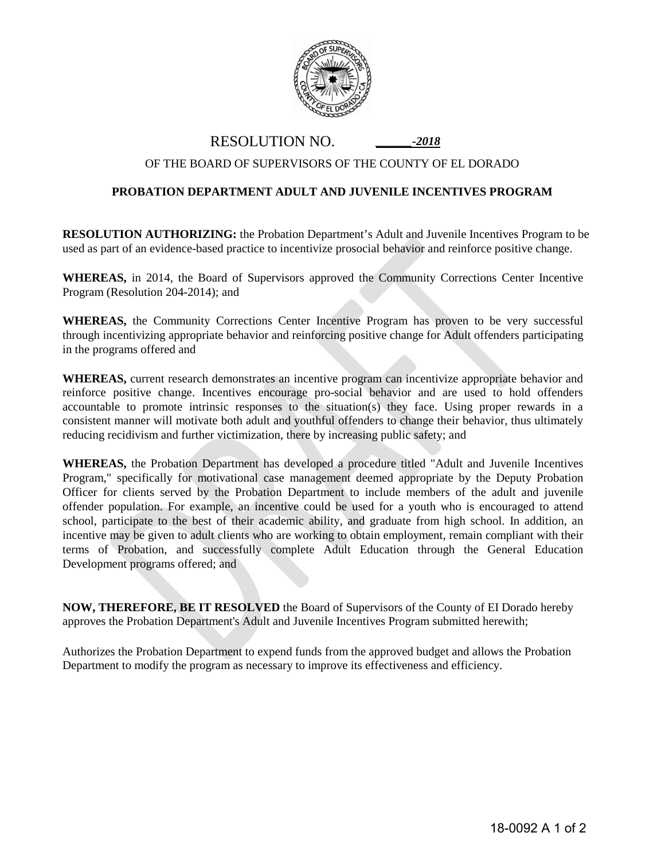

RESOLUTION NO. *\_\_\_\_\_\_-2018*

## OF THE BOARD OF SUPERVISORS OF THE COUNTY OF EL DORADO

## **PROBATION DEPARTMENT ADULT AND JUVENILE INCENTIVES PROGRAM**

**RESOLUTION AUTHORIZING:** the Probation Department's Adult and Juvenile Incentives Program to be used as part of an evidence-based practice to incentivize prosocial behavior and reinforce positive change.

**WHEREAS,** in 2014, the Board of Supervisors approved the Community Corrections Center Incentive Program (Resolution 204-2014); and

**WHEREAS,** the Community Corrections Center Incentive Program has proven to be very successful through incentivizing appropriate behavior and reinforcing positive change for Adult offenders participating in the programs offered and

**WHEREAS,** current research demonstrates an incentive program can incentivize appropriate behavior and reinforce positive change. Incentives encourage pro-social behavior and are used to hold offenders accountable to promote intrinsic responses to the situation(s) they face. Using proper rewards in a consistent manner will motivate both adult and youthful offenders to change their behavior, thus ultimately reducing recidivism and further victimization, there by increasing public safety; and

**WHEREAS,** the Probation Department has developed a procedure titled "Adult and Juvenile Incentives Program," specifically for motivational case management deemed appropriate by the Deputy Probation Officer for clients served by the Probation Department to include members of the adult and juvenile offender population. For example, an incentive could be used for a youth who is encouraged to attend school, participate to the best of their academic ability, and graduate from high school. In addition, an incentive may be given to adult clients who are working to obtain employment, remain compliant with their terms of Probation, and successfully complete Adult Education through the General Education Development programs offered; and

**NOW, THEREFORE, BE IT RESOLVED** the Board of Supervisors of the County of EI Dorado hereby approves the Probation Department's Adult and Juvenile Incentives Program submitted herewith;

Authorizes the Probation Department to expend funds from the approved budget and allows the Probation Department to modify the program as necessary to improve its effectiveness and efficiency.